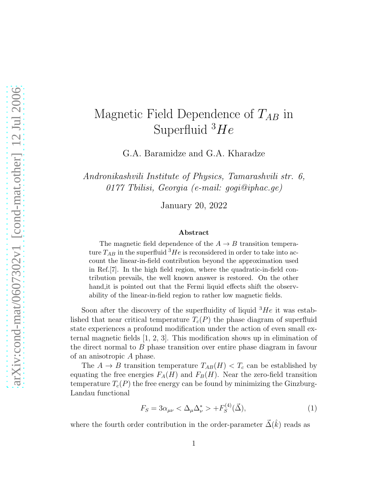# Magnetic Field Dependence of  $T_{AB}$  in Superfluid  $^3He$

G.A. Baramidze and G.A. Kharadze

*Andronikashvili Institute of Physics, Tamarashvili str. 6, 0177 Tbilisi, Georgia (e-mail: gogi@iphac.ge)*

January 20, 2022

#### Abstract

The magnetic field dependence of the  $A \rightarrow B$  transition temperature  $T_{AB}$  in the superfluid  ${}^{3}He$  is reconsidered in order to take into account the linear-in-field contribution beyond the approximation used in Ref.[7]. In the high field region, where the quadratic-in-field contribution prevails, the well known answer is restored. On the other hand,it is pointed out that the Fermi liquid effects shift the observability of the linear-in-field region to rather low magnetic fields.

Soon after the discovery of the superfluidity of liquid  ${}^{3}He$  it was established that near critical temperature  $T_c(P)$  the phase diagram of superfluid state experiences a profound modification under the action of even small external magnetic fields [1, 2, 3]. This modification shows up in elimination of the direct normal to B phase transition over entire phase diagram in favour of an anisotropic A phase.

The  $A \to B$  transition temperature  $T_{AB}(H) < T_c$  can be established by equating the free energies  $F_A(H)$  and  $F_B(H)$ . Near the zero-field transition temperature  $T_c(P)$  the free energy can be found by minimizing the Ginzburg-Landau functional

$$
F_S = 3\alpha_{\mu\nu} < \Delta_\mu \Delta_\nu^* > +F_S^{(4)}(\vec{\Delta}),\tag{1}
$$

where the fourth order contribution in the order-parameter  $\vec{\Delta}(\hat{k})$  reads as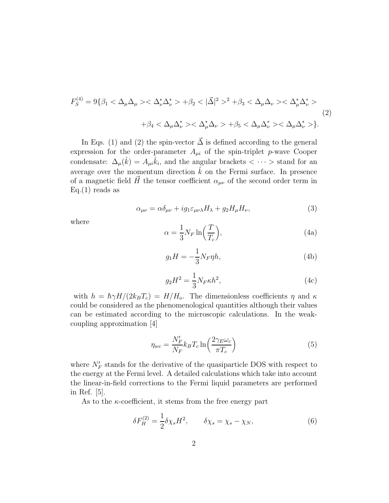$$
F_S^{(4)} = 9\{\beta_1 < \Delta_\mu \Delta_\mu > \langle \Delta_\nu^* \Delta_\nu^* > +\beta_2 < |\vec{\Delta}|^2 >^2 + \beta_3 < \Delta_\mu \Delta_\nu > \langle \Delta_\mu^* \Delta_\nu^* > \\ & + \beta_4 < \Delta_\mu \Delta_\nu^* > \langle \Delta_\mu^* \Delta_\nu > +\beta_5 < \Delta_\mu \Delta_\nu^* > \langle \Delta_\mu \Delta_\nu^* > \rangle \tag{2}
$$

In Eqs. (1) and (2) the spin-vector  $\vec{\Delta}$  is defined according to the general expression for the order-parameter  $A_{\mu i}$  of the spin-triplet p-wave Cooper condensate:  $\Delta_{\mu}(\hat{k}) = A_{\mu i} \hat{k}_i$ , and the angular brackets  $\langle \cdots \rangle$  stand for an average over the momentum direction  $\hat{k}$  on the Fermi surface. In presence of a magnetic field  $\vec{H}$  the tensor coefficient  $\alpha_{\mu\nu}$  of the second order term in  $Eq.(1)$  reads as

$$
\alpha_{\mu\nu} = \alpha \delta_{\mu\nu} + ig_1 \varepsilon_{\mu\nu\lambda} H_\lambda + g_2 H_\mu H_\nu,\tag{3}
$$

where

$$
\alpha = \frac{1}{3} N_F \ln\left(\frac{T}{T_c}\right),\tag{4a}
$$

$$
g_1 H = -\frac{1}{3} N_F \eta h,\tag{4b}
$$

$$
g_2 H^2 = \frac{1}{3} N_F \kappa h^2,\tag{4c}
$$

with  $h = \hbar \gamma H/(2k_B T_c) = H/H_o$ . The dimensionless coefficients  $\eta$  and  $\kappa$ could be considered as the phenomenological quantities although their values can be estimated according to the microscopic calculations. In the weakcoupling approximation [4]

$$
\eta_{wc} = \frac{N'_F}{N_F} k_B T_c \ln\left(\frac{2\gamma_E \omega_c}{\pi T_c}\right) \tag{5}
$$

where  $N_F'$  stands for the derivative of the quasiparticle DOS with respect to the energy at the Fermi level. A detailed calculations which take into account the linear-in-field corrections to the Fermi liquid parameters are performed in Ref. [5].

As to the  $\kappa$ -coefficient, it stems from the free energy part

$$
\delta F_H^{(2)} = \frac{1}{2} \delta \chi_s H^2, \qquad \delta \chi_s = \chi_s - \chi_N,\tag{6}
$$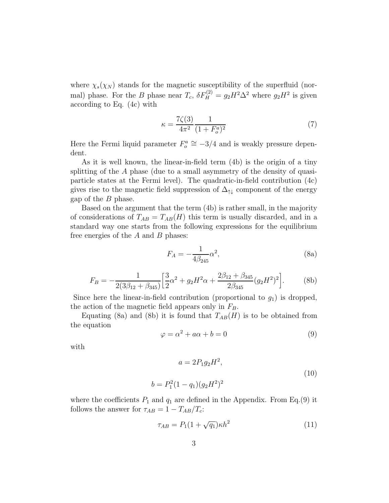where  $\chi_s(\chi_N)$  stands for the magnetic susceptibility of the superfluid (normal) phase. For the B phase near  $T_c$ ,  $\delta F_H^{(2)} = g_2 H^2 \Delta^2$  where  $g_2 H^2$  is given according to Eq. (4c) with

$$
\kappa = \frac{7\zeta(3)}{4\pi^2} \frac{1}{(1 + F_o^a)^2} \tag{7}
$$

Here the Fermi liquid parameter  $F_o^a \cong -3/4$  and is weakly pressure dependent.

As it is well known, the linear-in-field term (4b) is the origin of a tiny splitting of the  $\tilde{A}$  phase (due to a small asymmetry of the density of quasiparticle states at the Fermi level). The quadratic-in-field contribution (4c) gives rise to the magnetic field suppression of  $\Delta_{\uparrow\downarrow}$  component of the energy gap of the B phase.

Based on the argument that the term (4b) is rather small, in the majority of considerations of  $T_{AB} = T_{AB}(H)$  this term is usually discarded, and in a standard way one starts from the following expressions for the equilibrium free energies of the  $A$  and  $B$  phases:

$$
F_A = -\frac{1}{4\beta_{245}}\alpha^2,
$$
\n(8a)

$$
F_B = -\frac{1}{2(3\beta_{12} + \beta_{345})} \left[ \frac{3}{2} \alpha^2 + g_2 H^2 \alpha + \frac{2\beta_{12} + \beta_{345}}{2\beta_{345}} (g_2 H^2)^2 \right].
$$
 (8b)

Since here the linear-in-field contribution (proportional to  $g_1$ ) is dropped, the action of the magnetic field appears only in  $F_B$ .

Equating (8a) and (8b) it is found that  $T_{AB}(H)$  is to be obtained from the equation

$$
\varphi = \alpha^2 + a\alpha + b = 0 \tag{9}
$$

with

$$
a = 2P_1 g_2 H^2,
$$
  
\n
$$
b = P_1^2 (1 - q_1)(g_2 H^2)^2
$$
\n(10)

where the coefficients  $P_1$  and  $q_1$  are defined in the Appendix. From Eq.(9) it follows the answer for  $\tau_{AB} = 1 - T_{AB}/T_c$ :

$$
\tau_{AB} = P_1(1 + \sqrt{q_1})\kappa h^2 \tag{11}
$$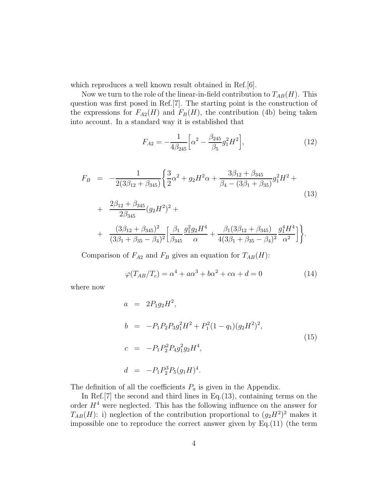which reproduces a well known result obtained in Ref.[6].

Now we turn to the role of the linear-in-field contribution to  $T_{AB}(H)$ . This question was first posed in Ref.[7]. The starting point is the construction of the expressions for  $F_{A2}(H)$  and  $F_B(H)$ , the contribution (4b) being taken into account. In a standard way it is established that

$$
F_{A2} = -\frac{1}{4\beta_{245}} \left[ \alpha^2 - \frac{\beta_{245}}{\beta_5} g_1^2 H^2 \right],\tag{12}
$$

$$
F_B = -\frac{1}{2(3\beta_{12} + \beta_{345})} \left\{ \frac{3}{2}\alpha^2 + g_2 H^2 \alpha + \frac{3\beta_{12} + \beta_{345}}{\beta_4 - (3\beta_1 + \beta_{35})} g_1^2 H^2 + \frac{2\beta_{12} + \beta_{345}}{2\beta_{345}} (g_2 H^2)^2 + \frac{(3\beta_{12} + \beta_{345})^2}{(3\beta_1 + \beta_{35} - \beta_4)^2} \left[ \frac{\beta_1}{\beta_{345}} \frac{g_1^2 g_2 H^4}{\alpha} + \frac{\beta_1 (3\beta_{12} + \beta_{345})}{4(3\beta_1 + \beta_{35} - \beta_4)^2} \frac{g_1^4 H^4}{\alpha^2} \right] \right\}.
$$
\n
$$
(13)
$$

Comparison of  $F_{A2}$  and  $F_B$  gives an equation for  $T_{AB}(H)$ :

$$
\varphi(T_{AB}/T_c) = \alpha^4 + a\alpha^3 + b\alpha^2 + c\alpha + d = 0 \tag{14}
$$

where now

$$
a = 2P_1g_2H^2,
$$
  
\n
$$
b = -P_1P_2P_3g_1^2H^2 + P_1^2(1 - q_1)(g_2H^2)^2,
$$
  
\n
$$
c = -P_1P_2^2P_4g_1^2g_2H^4,
$$
  
\n
$$
d = -P_1P_2^3P_5(g_1H)^4.
$$
\n(15)

The definition of all the coefficients  $P_a$  is given in the Appendix.

In Ref.  $[7]$  the second and third lines in Eq.  $(13)$ , containing terms on the order  $H<sup>4</sup>$  were neglected. This has the following influence on the answer for  $T_{AB}(H)$ : i) neglection of the contribution proportional to  $(g_2H^2)^2$  makes it impossible one to reproduce the correct answer given by Eq.(11) (the term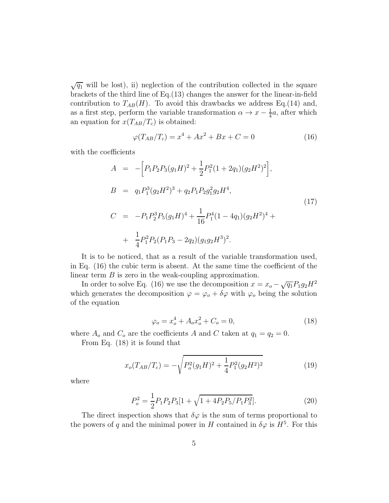$\sqrt{q_1}$  will be lost), ii) neglection of the contribution collected in the square brackets of the third line of Eq.(13) changes the answer for the linear-in-field contribution to  $T_{AB}(H)$ . To avoid this drawbacks we address Eq.(14) and, as a first step, perform the variable transformation  $\alpha \to x - \frac{1}{4}$  $\frac{1}{4}a$ , after which an equation for  $x(T_{AB}/T_c)$  is obtained:

$$
\varphi(T_{AB}/T_c) = x^4 + Ax^2 + Bx + C = 0 \tag{16}
$$

with the coefficients

$$
A = -\Big[P_1P_2P_3(g_1H)^2 + \frac{1}{2}P_1^2(1+2q_1)(g_2H^2)^2\Big],
$$
  
\n
$$
B = q_1P_1^3(g_2H^2)^3 + q_2P_1P_2g_1^2g_2H^4,
$$
  
\n
$$
C = -P_1P_2^3P_5(g_1H)^4 + \frac{1}{16}P_1^4(1-4q_1)(g_2H^2)^4 + \frac{1}{4}P_1^2P_2(P_1P_3 - 2q_2)(g_1g_2H^3)^2.
$$
  
\n(17)

It is to be noticed, that as a result of the variable transformation used, in Eq. (16) the cubic term is absent. At the same time the coefficient of the linear term  $B$  is zero in the weak-coupling approximation.

In order to solve Eq. (16) we use the decomposition  $x = x_o - \sqrt{q_1}P_1g_2H^2$ which generates the decomposition  $\varphi = \varphi_o + \delta \varphi$  with  $\varphi_o$  being the solution of the equation

$$
\varphi_o = x_o^4 + A_o x_o^2 + C_o = 0,\tag{18}
$$

where  $A_o$  and  $C_o$  are the coefficients A and C taken at  $q_1 = q_2 = 0$ .

From Eq. (18) it is found that

$$
x_o(T_{AB}/T_c) = -\sqrt{P_o^2(g_1H)^2 + \frac{1}{4}P_1^2(g_2H^2)^2}
$$
\n(19)

where

$$
P_o^2 = \frac{1}{2} P_1 P_2 P_3 [1 + \sqrt{1 + 4P_2 P_5 / P_1 P_3^2}].
$$
\n(20)

The direct inspection shows that  $\delta\varphi$  is the sum of terms proportional to the powers of q and the minimal power in H contained in  $\delta\varphi$  is  $H^5$ . For this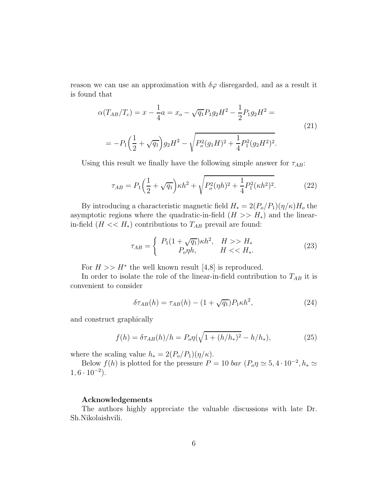reason we can use an approximation with  $\delta\varphi$  disregarded, and as a result it is found that

$$
\alpha(T_{AB}/T_c) = x - \frac{1}{4}a = x_o - \sqrt{q_1}P_1g_2H^2 - \frac{1}{2}P_1g_2H^2 =
$$
  
= 
$$
-P_1\left(\frac{1}{2} + \sqrt{q_1}\right)g_2H^2 - \sqrt{P_o^2(g_1H)^2 + \frac{1}{4}P_1^2(g_2H^2)^2}.
$$
 (21)

Using this result we finally have the following simple answer for  $\tau_{AB}$ :

$$
\tau_{AB} = P_1 \left(\frac{1}{2} + \sqrt{q_1}\right) \kappa h^2 + \sqrt{P_o^2(\eta h)^2 + \frac{1}{4} P_1^2(\kappa h^2)^2}.
$$
 (22)

By introducing a characteristic magnetic field  $H_* = 2(P_o/P_1)(\eta/\kappa)H_o$  the asymptotic regions where the quadratic-in-field  $(H \gg H_*)$  and the linearin-field  $(H \ll H_*)$  contributions to  $T_{AB}$  prevail are found:

$$
\tau_{AB} = \begin{cases} P_1(1+\sqrt{q_1})\kappa h^2, & H >> H_* \\ P_o \eta h, & H << H_*. \end{cases}
$$
 (23)

For  $H \gg H^*$  the well known result [4,8] is reproduced.

In order to isolate the role of the linear-in-field contribution to  $T_{AB}$  it is convenient to consider

$$
\delta \tau_{AB}(h) = \tau_{AB}(h) - (1 + \sqrt{q_1})P_1 \kappa h^2,\tag{24}
$$

and construct graphically

$$
f(h) = \delta \tau_{AB}(h)/h = P_o \eta(\sqrt{1 + (h/h_*)^2} - h/h_*), \tag{25}
$$

where the scaling value  $h_* = 2(P_o/P_1)(\eta/\kappa)$ .

Below  $f(h)$  is plotted for the pressure  $P = 10$  *bar*  $(P_o \eta \simeq 5, 4 \cdot 10^{-2}, h_* \simeq$  $1, 6 \cdot 10^{-2}$ ).

#### Acknowledgements

The authors highly appreciate the valuable discussions with late Dr. Sh.Nikolaishvili.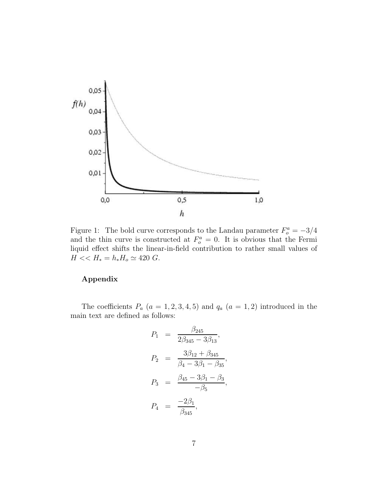

Figure 1: The bold curve corresponds to the Landau parameter  $F_o^a = -3/4$ and the thin curve is constructed at  $F_o^a = 0$ . It is obvious that the Fermi liquid effect shifts the linear-in-field contribution to rather small values of  $H << H_* = h_* H_o \simeq 420$  G.

### Appendix

The coefficients  $P_a$  ( $a = 1, 2, 3, 4, 5$ ) and  $q_a$  ( $a = 1, 2$ ) introduced in the main text are defined as follows:

$$
P_1 = \frac{\beta_{245}}{2\beta_{345} - 3\beta_{13}},
$$
  
\n
$$
P_2 = \frac{3\beta_{12} + \beta_{345}}{\beta_4 - 3\beta_1 - \beta_{35}},
$$
  
\n
$$
P_3 = \frac{\beta_{45} - 3\beta_1 - \beta_3}{-\beta_5},
$$
  
\n
$$
P_4 = \frac{-2\beta_1}{\beta_{345}},
$$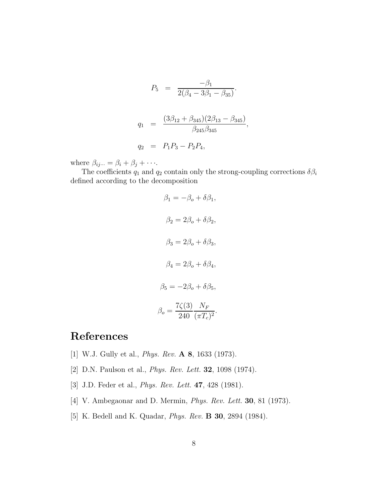$$
P_5 = \frac{-\beta_1}{2(\beta_4 - 3\beta_1 - \beta_{35})}.
$$
  
\n
$$
q_1 = \frac{(3\beta_{12} + \beta_{345})(2\beta_{13} - \beta_{345})}{\beta_{245}\beta_{345}},
$$
  
\n
$$
q_2 = P_1 P_3 - P_2 P_4,
$$

where  $\beta_{ij\cdots} = \beta_i + \beta_j + \cdots$ .

The coefficients  $q_1$  and  $q_2$  contain only the strong-coupling corrections  $\delta \beta_i$ defined according to the decomposition

$$
\beta_1 = -\beta_o + \delta \beta_1,
$$
  
\n
$$
\beta_2 = 2\beta_o + \delta \beta_2,
$$
  
\n
$$
\beta_3 = 2\beta_o + \delta \beta_3,
$$
  
\n
$$
\beta_4 = 2\beta_o + \delta \beta_4,
$$
  
\n
$$
\beta_5 = -2\beta_o + \delta \beta_5,
$$
  
\n
$$
\beta_o = \frac{7\zeta(3)}{240} \frac{N_F}{(\pi T_c)^2}.
$$

## References

- [1] W.J. Gully et al., *Phys. Rev.* A 8, 1633 (1973).
- [2] D.N. Paulson et al., *Phys. Rev. Lett.* 32, 1098 (1974).
- [3] J.D. Feder et al., *Phys. Rev. Lett.* 47, 428 (1981).
- [4] V. Ambegaonar and D. Mermin, *Phys. Rev. Lett.* 30, 81 (1973).
- [5] K. Bedell and K. Quadar, *Phys. Rev.* B 30, 2894 (1984).